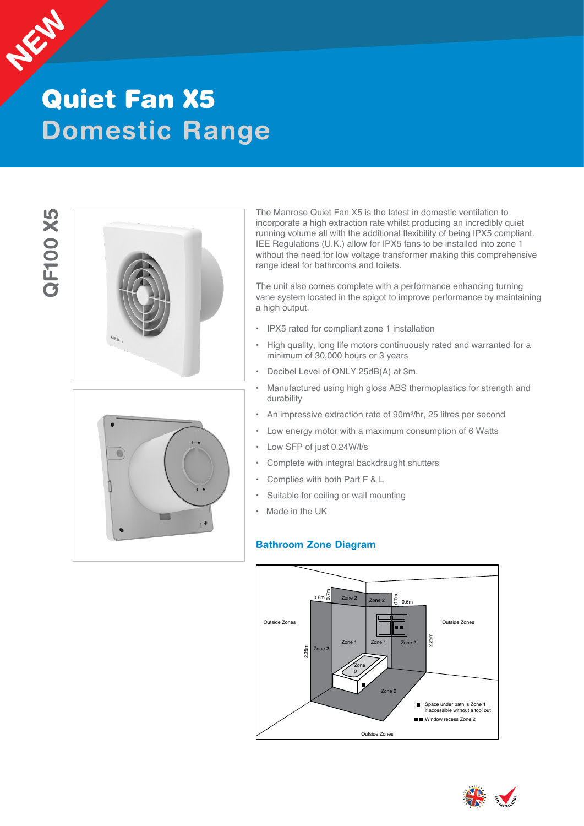

## **Domestic Range** Quiet Fan X5

# **2F100 X5 QF100 X5**





The Manrose Quiet Fan X5 is the latest in domestic ventilation to incorporate a high extraction rate whilst producing an incredibly quiet running volume all with the additional flexibility of being IPX5 compliant. IEE Regulations (U.K.) allow for IPX5 fans to be installed into zone 1 without the need for low voltage transformer making this comprehensive range ideal for bathrooms and toilets.

The unit also comes complete with a performance enhancing turning vane system located in the spigot to improve performance by maintaining a high output.

- IPX5 rated for compliant zone 1 installation
- High quality, long life motors continuously rated and warranted for a minimum of 30,000 hours or 3 years
- Decibel Level of ONLY 25dB(A) at 3m.
- Manufactured using high gloss ABS thermoplastics for strength and durability
- An impressive extraction rate of 90m<sup>3</sup>/hr, 25 litres per second
- Low energy motor with a maximum consumption of 6 Watts
- Low SFP of just 0.24W/l/s
- Complete with integral backdraught shutters
- Complies with both Part F & L
- Suitable for ceiling or wall mounting
- Made in the UK

#### **Bathroom Zone Diagram**